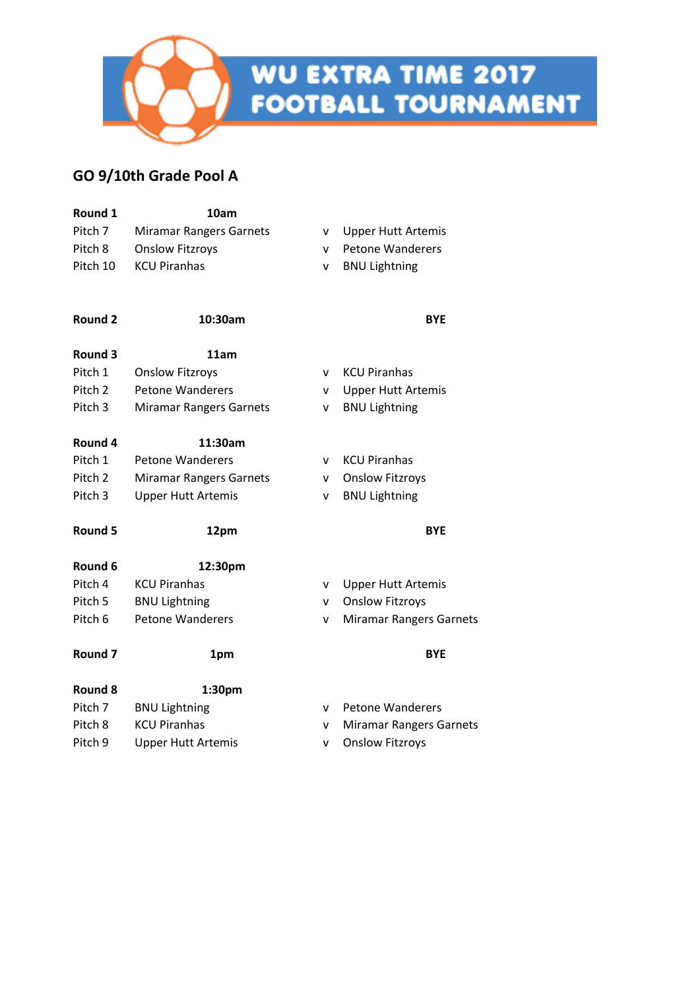

# **WU EXTRA TIME 2017<br>FOOTBALL TOURNAMENT**

#### **GO 9/10th Grade Pool A**

| Round 1            | 10am                           |              |                                |
|--------------------|--------------------------------|--------------|--------------------------------|
| Pitch 7            | <b>Miramar Rangers Garnets</b> | ۷            | <b>Upper Hutt Artemis</b>      |
| Pitch 8            | <b>Onslow Fitzroys</b>         | v            | <b>Petone Wanderers</b>        |
| Pitch 10           | <b>KCU Piranhas</b>            | ٧            | <b>BNU Lightning</b>           |
| <b>Round 2</b>     | 10:30am                        |              | <b>BYE</b>                     |
| Round 3            | 11am                           |              |                                |
| Pitch 1            | <b>Onslow Fitzroys</b>         | v            | <b>KCU Piranhas</b>            |
| Pitch 2            | <b>Petone Wanderers</b>        | v            | <b>Upper Hutt Artemis</b>      |
| Pitch 3            | <b>Miramar Rangers Garnets</b> | ۷            | <b>BNU Lightning</b>           |
| Round 4            | 11:30am                        |              |                                |
| Pitch 1            | <b>Petone Wanderers</b>        | v            | <b>KCU Piranhas</b>            |
| Pitch <sub>2</sub> | <b>Miramar Rangers Garnets</b> | v            | <b>Onslow Fitzroys</b>         |
| Pitch 3            | <b>Upper Hutt Artemis</b>      | v            | <b>BNU Lightning</b>           |
| Round 5            | 12pm                           |              | <b>BYE</b>                     |
| Round 6            | 12:30pm                        |              |                                |
| Pitch 4            | <b>KCU Piranhas</b>            | v            | <b>Upper Hutt Artemis</b>      |
| Pitch 5            | <b>BNU Lightning</b>           | v            | <b>Onslow Fitzroys</b>         |
| Pitch 6            | <b>Petone Wanderers</b>        | v            | <b>Miramar Rangers Garnets</b> |
| Round 7            | 1pm                            |              | <b>BYE</b>                     |
| <b>Round 8</b>     | 1:30pm                         |              |                                |
| Pitch 7            | <b>BNU Lightning</b>           | $\mathsf{v}$ | <b>Petone Wanderers</b>        |
| Pitch 8            | <b>KCU Piranhas</b>            | v            | <b>Miramar Rangers Garnets</b> |
|                    |                                |              |                                |

Pitch 9 Upper Hutt Artemis v Onslow Fitzroys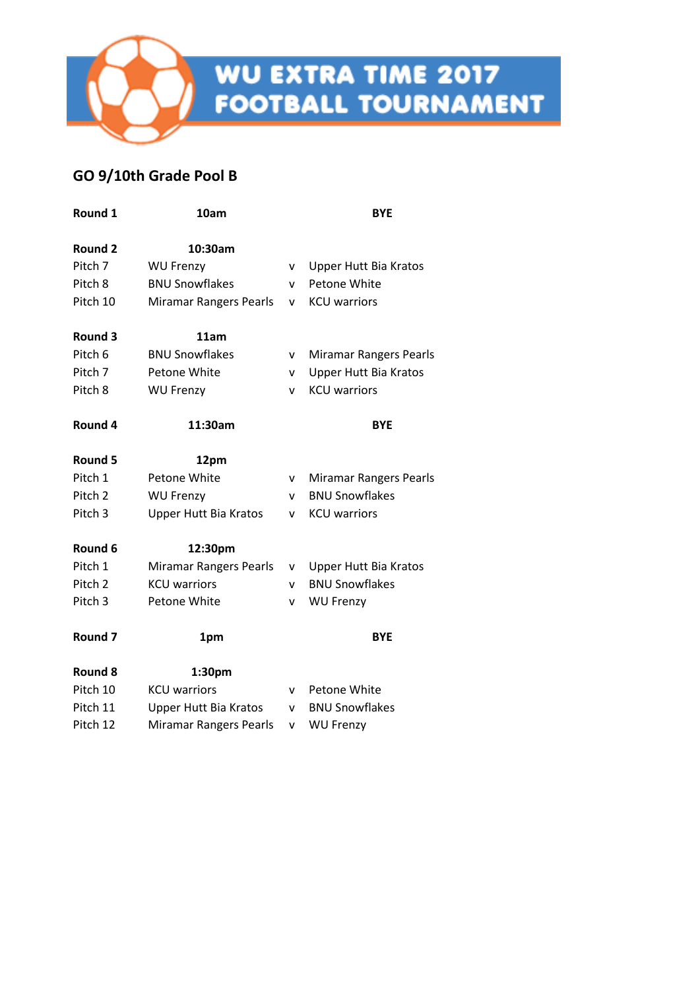

#### **GO 9/10th Grade Pool B**

| Round 1            | 10am                          |   | <b>BYE</b>                    |
|--------------------|-------------------------------|---|-------------------------------|
| Round 2            | 10:30am                       |   |                               |
| Pitch 7            | <b>WU Frenzy</b>              | v | <b>Upper Hutt Bia Kratos</b>  |
| Pitch 8            | <b>BNU Snowflakes</b>         | v | Petone White                  |
| Pitch 10           | <b>Miramar Rangers Pearls</b> | v | <b>KCU</b> warriors           |
| Round 3            | 11am                          |   |                               |
| Pitch 6            | <b>BNU Snowflakes</b>         | v | <b>Miramar Rangers Pearls</b> |
| Pitch 7            | Petone White                  | v | <b>Upper Hutt Bia Kratos</b>  |
| Pitch 8            | <b>WU Frenzy</b>              | v | <b>KCU</b> warriors           |
| Round 4            | 11:30am                       |   | <b>BYE</b>                    |
| Round 5            | 12pm                          |   |                               |
| Pitch 1            | Petone White                  | v | <b>Miramar Rangers Pearls</b> |
| Pitch <sub>2</sub> | <b>WU Frenzy</b>              | v | <b>BNU Snowflakes</b>         |
| Pitch 3            | <b>Upper Hutt Bia Kratos</b>  | v | <b>KCU</b> warriors           |
| Round 6            | 12:30pm                       |   |                               |
| Pitch 1            | <b>Miramar Rangers Pearls</b> | v | <b>Upper Hutt Bia Kratos</b>  |
| Pitch <sub>2</sub> | <b>KCU</b> warriors           | v | <b>BNU Snowflakes</b>         |
| Pitch <sub>3</sub> | Petone White                  | v | <b>WU Frenzy</b>              |
| Round <sub>7</sub> | 1pm                           |   | <b>BYE</b>                    |
| Round 8            | 1:30pm                        |   |                               |
| Pitch 10           | <b>KCU</b> warriors           | v | Petone White                  |
| Pitch 11           | <b>Upper Hutt Bia Kratos</b>  | v | <b>BNU Snowflakes</b>         |
| Pitch 12           | <b>Miramar Rangers Pearls</b> | v | <b>WU Frenzy</b>              |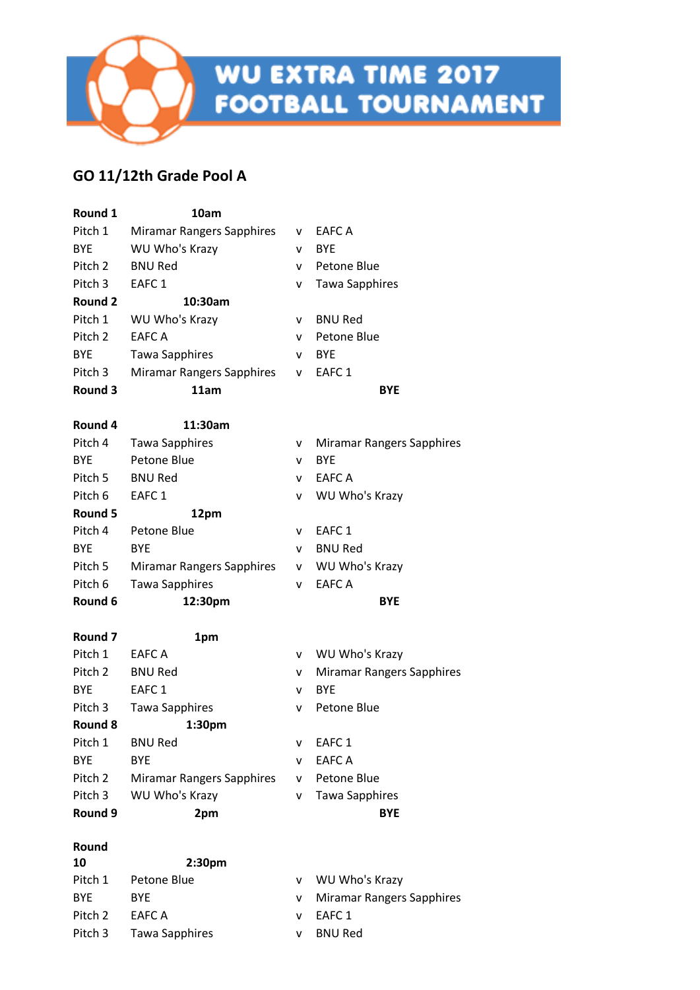**WU EXTRA TIME 2017<br>FOOTBALL TOURNAMENT** 

### **GO 11/12th Grade Pool A**

| Round 1            | 10am                             |    |                                  |
|--------------------|----------------------------------|----|----------------------------------|
| Pitch 1            | <b>Miramar Rangers Sapphires</b> | V. | EAFC A                           |
| <b>BYE</b>         | WU Who's Krazy                   | v  | <b>BYE</b>                       |
| Pitch 2            | <b>BNU Red</b>                   | v  | Petone Blue                      |
| Pitch 3            | EAFC <sub>1</sub>                | v  | <b>Tawa Sapphires</b>            |
| Round 2            | 10:30am                          |    |                                  |
| Pitch 1            | WU Who's Krazy                   | v  | <b>BNU Red</b>                   |
| Pitch 2            | EAFC A                           | v  | Petone Blue                      |
| <b>BYE</b>         | <b>Tawa Sapphires</b>            | v  | <b>BYE</b>                       |
| Pitch 3            | Miramar Rangers Sapphires        | v  | EAFC <sub>1</sub>                |
| Round 3            | 11am                             |    | <b>BYE</b>                       |
| Round 4            | 11:30am                          |    |                                  |
| Pitch 4            | <b>Tawa Sapphires</b>            | v  | <b>Miramar Rangers Sapphires</b> |
| <b>BYE</b>         | Petone Blue                      | v  | <b>BYE</b>                       |
| Pitch 5            | <b>BNU Red</b>                   | v  | <b>EAFC A</b>                    |
| Pitch 6            | EAFC <sub>1</sub>                | V  | WU Who's Krazy                   |
| Round 5            | 12pm                             |    |                                  |
| Pitch 4            | Petone Blue                      | v  | EAFC <sub>1</sub>                |
| <b>BYE</b>         | <b>BYE</b>                       | v  | <b>BNU Red</b>                   |
| Pitch 5            | Miramar Rangers Sapphires        | v  | WU Who's Krazy                   |
| Pitch 6            | <b>Tawa Sapphires</b>            | v  | <b>EAFC A</b>                    |
| Round 6            | 12:30pm                          |    | <b>BYE</b>                       |
| Round <sub>7</sub> | 1pm                              |    |                                  |
| Pitch 1            | <b>EAFC A</b>                    | v. | WU Who's Krazy                   |
| Pitch 2            | <b>BNU Red</b>                   | V  | <b>Miramar Rangers Sapphires</b> |
| <b>BYE</b>         | EAFC <sub>1</sub>                | ۷  | <b>BYE</b>                       |
| Pitch 3            | <b>Tawa Sapphires</b>            | v  | Petone Blue                      |
| Round 8            | 1:30pm                           |    |                                  |
| Pitch 1            | <b>BNU Red</b>                   | v  | EAFC <sub>1</sub>                |
| <b>BYE</b>         | <b>BYE</b>                       | v  | <b>EAFC A</b>                    |
| Pitch 2            | <b>Miramar Rangers Sapphires</b> | v  | Petone Blue                      |
| Pitch 3            | WU Who's Krazy                   | v  | <b>Tawa Sapphires</b>            |
| Round 9            | 2pm                              |    | <b>BYE</b>                       |
| Round              |                                  |    |                                  |
| 10                 | 2:30pm                           |    |                                  |
| Pitch 1            | Petone Blue                      | v  | WU Who's Krazy                   |
| <b>BYE</b>         | <b>BYE</b>                       | v  | <b>Miramar Rangers Sapphires</b> |

- Pitch 2 EAFC A v EAFC 1
- Pitch 3 Tawa Sapphires v BNU Red